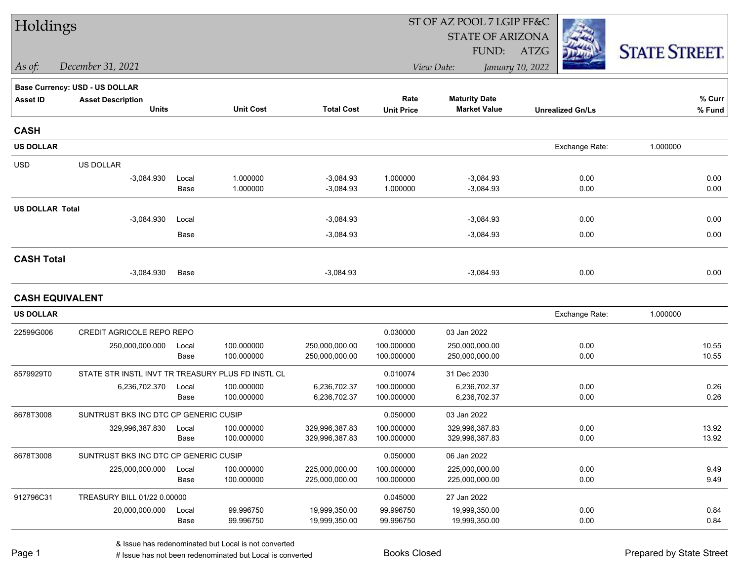| Holdings               |                                                   |               |                          |                              | ST OF AZ POOL 7 LGIP FF&C |                                             |                         |                      |  |  |
|------------------------|---------------------------------------------------|---------------|--------------------------|------------------------------|---------------------------|---------------------------------------------|-------------------------|----------------------|--|--|
|                        |                                                   |               |                          |                              |                           | <b>STATE OF ARIZONA</b>                     |                         |                      |  |  |
|                        |                                                   |               |                          |                              |                           | FUND:                                       | ATZG                    | <b>STATE STREET.</b> |  |  |
| As of:                 | December 31, 2021                                 |               |                          |                              |                           | View Date:                                  | January 10, 2022        |                      |  |  |
|                        | <b>Base Currency: USD - US DOLLAR</b>             |               |                          |                              |                           |                                             |                         |                      |  |  |
| <b>Asset ID</b>        | <b>Asset Description</b><br><b>Units</b>          |               | <b>Unit Cost</b>         | <b>Total Cost</b>            | Rate<br><b>Unit Price</b> | <b>Maturity Date</b><br><b>Market Value</b> | <b>Unrealized Gn/Ls</b> | % Curr<br>% Fund     |  |  |
|                        |                                                   |               |                          |                              |                           |                                             |                         |                      |  |  |
| <b>CASH</b>            |                                                   |               |                          |                              |                           |                                             |                         |                      |  |  |
| <b>US DOLLAR</b>       |                                                   |               |                          |                              |                           |                                             | Exchange Rate:          | 1.000000             |  |  |
| <b>USD</b>             | US DOLLAR                                         |               |                          |                              |                           |                                             |                         |                      |  |  |
|                        | $-3,084.930$                                      | Local         | 1.000000                 | $-3,084.93$                  | 1.000000                  | $-3,084.93$                                 | 0.00                    | 0.00                 |  |  |
|                        |                                                   | Base          | 1.000000                 | $-3,084.93$                  | 1.000000                  | $-3,084.93$                                 | 0.00                    | 0.00                 |  |  |
| <b>US DOLLAR Total</b> |                                                   |               |                          |                              |                           |                                             |                         |                      |  |  |
|                        | $-3,084.930$                                      | Local<br>Base |                          | $-3,084.93$<br>$-3,084.93$   |                           | $-3,084.93$<br>$-3,084.93$                  | 0.00<br>0.00            | 0.00<br>0.00         |  |  |
|                        |                                                   |               |                          |                              |                           |                                             |                         |                      |  |  |
| <b>CASH Total</b>      |                                                   |               |                          |                              |                           |                                             |                         |                      |  |  |
|                        | $-3,084.930$                                      | Base          |                          | $-3,084.93$                  |                           | $-3,084.93$                                 | 0.00                    | 0.00                 |  |  |
| <b>CASH EQUIVALENT</b> |                                                   |               |                          |                              |                           |                                             |                         |                      |  |  |
| <b>US DOLLAR</b>       |                                                   |               |                          |                              |                           |                                             | Exchange Rate:          | 1.000000             |  |  |
| 22599G006              | CREDIT AGRICOLE REPO REPO                         |               |                          |                              | 0.030000                  | 03 Jan 2022                                 |                         |                      |  |  |
|                        | 250,000,000.000                                   | Local         | 100.000000               | 250,000,000.00               | 100.000000                | 250,000,000.00                              | 0.00                    | 10.55                |  |  |
|                        |                                                   | Base          | 100.000000               | 250,000,000.00               | 100.000000                | 250,000,000.00                              | 0.00                    | 10.55                |  |  |
| 8579929T0              | STATE STR INSTL INVT TR TREASURY PLUS FD INSTL CL |               |                          |                              | 0.010074                  | 31 Dec 2030                                 |                         |                      |  |  |
|                        | 6,236,702.370                                     | Local<br>Base | 100.000000<br>100.000000 | 6,236,702.37<br>6,236,702.37 | 100.000000<br>100.000000  | 6,236,702.37<br>6,236,702.37                | 0.00<br>0.00            | 0.26<br>0.26         |  |  |
|                        |                                                   |               |                          |                              |                           |                                             |                         |                      |  |  |
| 8678T3008              | SUNTRUST BKS INC DTC CP GENERIC CUSIP             |               | 100.000000               | 329,996,387.83               | 0.050000<br>100.000000    | 03 Jan 2022<br>329,996,387.83               | 0.00                    | 13.92                |  |  |
|                        | 329,996,387.830                                   | Local<br>Base | 100.000000               | 329,996,387.83               | 100.000000                | 329,996,387.83                              | 0.00                    | 13.92                |  |  |
| 8678T3008              | SUNTRUST BKS INC DTC CP GENERIC CUSIP             |               |                          |                              | 0.050000                  | 06 Jan 2022                                 |                         |                      |  |  |
|                        | 225,000,000.000                                   | Local         | 100.000000               | 225,000,000.00               | 100.000000                | 225,000,000.00                              | 0.00                    | 9.49                 |  |  |
|                        |                                                   | Base          | 100.000000               | 225,000,000.00               | 100.000000                | 225,000,000.00                              | 0.00                    | 9.49                 |  |  |
| 912796C31              | TREASURY BILL 01/22 0.00000                       |               |                          |                              | 0.045000                  | 27 Jan 2022                                 |                         |                      |  |  |
|                        | 20,000,000.000                                    | Local         | 99.996750                | 19,999,350.00                | 99.996750                 | 19,999,350.00                               | 0.00                    | 0.84                 |  |  |
|                        |                                                   | Base          | 99.996750                | 19,999,350.00                | 99.996750                 | 19,999,350.00                               | 0.00                    | 0.84                 |  |  |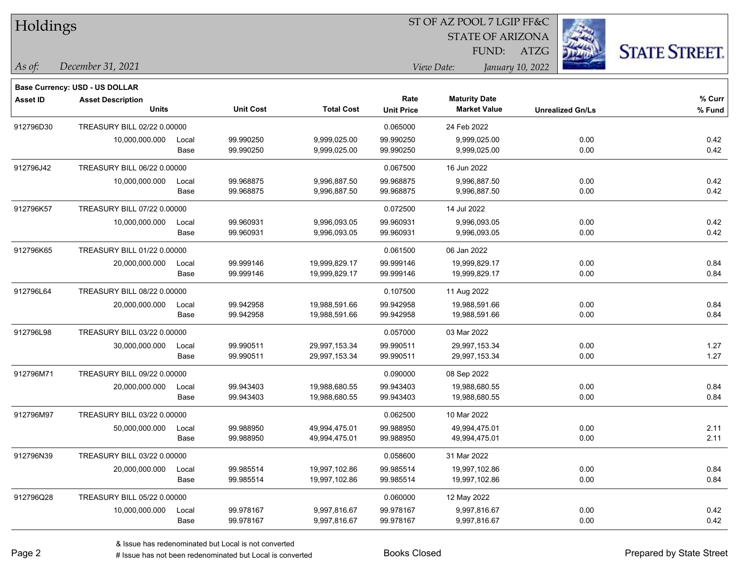| Holdings        |                                          |               |                        |                              |                        | ST OF AZ POOL 7 LGIP FF&C                   |                         |                      |
|-----------------|------------------------------------------|---------------|------------------------|------------------------------|------------------------|---------------------------------------------|-------------------------|----------------------|
|                 |                                          |               |                        |                              |                        | <b>STATE OF ARIZONA</b>                     |                         |                      |
|                 |                                          |               |                        |                              |                        | FUND:                                       | <b>ATZG</b>             | <b>STATE STREET.</b> |
| As of:          | December 31, 2021                        |               |                        |                              |                        | View Date:                                  | January 10, 2022        |                      |
|                 |                                          |               |                        |                              |                        |                                             |                         |                      |
|                 | Base Currency: USD - US DOLLAR           |               |                        |                              | Rate                   |                                             |                         |                      |
| <b>Asset ID</b> | <b>Asset Description</b><br><b>Units</b> |               | <b>Unit Cost</b>       | <b>Total Cost</b>            | <b>Unit Price</b>      | <b>Maturity Date</b><br><b>Market Value</b> | <b>Unrealized Gn/Ls</b> | % Curr<br>% Fund     |
| 912796D30       | TREASURY BILL 02/22 0.00000              |               |                        |                              |                        | 24 Feb 2022                                 |                         |                      |
|                 |                                          |               | 99.990250              | 9,999,025.00                 | 0.065000<br>99.990250  | 9,999,025.00                                | 0.00                    | 0.42                 |
|                 | 10,000,000.000                           | Local<br>Base | 99.990250              | 9,999,025.00                 | 99.990250              | 9,999,025.00                                | 0.00                    | 0.42                 |
|                 |                                          |               |                        |                              |                        |                                             |                         |                      |
| 912796J42       | TREASURY BILL 06/22 0.00000              |               |                        |                              | 0.067500               | 16 Jun 2022                                 |                         |                      |
|                 | 10,000,000.000                           | Local<br>Base | 99.968875<br>99.968875 | 9,996,887.50<br>9,996,887.50 | 99.968875<br>99.968875 | 9,996,887.50<br>9,996,887.50                | 0.00<br>0.00            | 0.42<br>0.42         |
|                 |                                          |               |                        |                              |                        |                                             |                         |                      |
| 912796K57       | TREASURY BILL 07/22 0.00000              |               |                        |                              | 0.072500               | 14 Jul 2022                                 |                         |                      |
|                 | 10,000,000.000                           | Local<br>Base | 99.960931<br>99.960931 | 9,996,093.05<br>9,996,093.05 | 99.960931<br>99.960931 | 9,996,093.05<br>9,996,093.05                | 0.00<br>0.00            | 0.42<br>0.42         |
| 912796K65       | TREASURY BILL 01/22 0.00000              |               |                        |                              | 0.061500               | 06 Jan 2022                                 |                         |                      |
|                 |                                          |               | 99.999146              | 19,999,829.17                | 99.999146              | 19,999,829.17                               | 0.00                    | 0.84                 |
|                 | 20,000,000.000                           | Local<br>Base | 99.999146              | 19,999,829.17                | 99.999146              | 19,999,829.17                               | 0.00                    | 0.84                 |
| 912796L64       | TREASURY BILL 08/22 0.00000              |               |                        |                              | 0.107500               | 11 Aug 2022                                 |                         |                      |
|                 | 20,000,000.000                           | Local         | 99.942958              | 19,988,591.66                | 99.942958              | 19,988,591.66                               | 0.00                    | 0.84                 |
|                 |                                          | Base          | 99.942958              | 19,988,591.66                | 99.942958              | 19,988,591.66                               | 0.00                    | 0.84                 |
| 912796L98       | TREASURY BILL 03/22 0.00000              |               |                        |                              | 0.057000               | 03 Mar 2022                                 |                         |                      |
|                 | 30,000,000.000                           | Local         | 99.990511              | 29,997,153.34                | 99.990511              | 29,997,153.34                               | 0.00                    | 1.27                 |
|                 |                                          | Base          | 99.990511              | 29,997,153.34                | 99.990511              | 29,997,153.34                               | 0.00                    | 1.27                 |
| 912796M71       | TREASURY BILL 09/22 0.00000              |               |                        |                              | 0.090000               | 08 Sep 2022                                 |                         |                      |
|                 | 20,000,000.000                           | Local         | 99.943403              | 19,988,680.55                | 99.943403              | 19,988,680.55                               | 0.00                    | 0.84                 |
|                 |                                          | Base          | 99.943403              | 19,988,680.55                | 99.943403              | 19,988,680.55                               | 0.00                    | 0.84                 |
| 912796M97       | TREASURY BILL 03/22 0.00000              |               |                        |                              | 0.062500               | 10 Mar 2022                                 |                         |                      |
|                 | 50,000,000.000                           | Local         | 99.988950              | 49,994,475.01                | 99.988950              | 49,994,475.01                               | 0.00                    | 2.11                 |
|                 |                                          | Base          | 99.988950              | 49,994,475.01                | 99.988950              | 49,994,475.01                               | 0.00                    | 2.11                 |
| 912796N39       | TREASURY BILL 03/22 0.00000              |               |                        |                              | 0.058600               | 31 Mar 2022                                 |                         |                      |
|                 | 20,000,000.000                           | Local         | 99.985514              | 19,997,102.86                | 99.985514              | 19,997,102.86                               | 0.00                    | 0.84                 |
|                 |                                          | Base          | 99.985514              | 19,997,102.86                | 99.985514              | 19,997,102.86                               | 0.00                    | 0.84                 |
| 912796Q28       | TREASURY BILL 05/22 0.00000              |               |                        |                              | 0.060000               | 12 May 2022                                 |                         |                      |
|                 | 10,000,000.000                           | Local         | 99.978167              | 9,997,816.67                 | 99.978167              | 9,997,816.67                                | 0.00                    | 0.42                 |
|                 |                                          | Base          | 99.978167              | 9,997,816.67                 | 99.978167              | 9,997,816.67                                | 0.00                    | 0.42                 |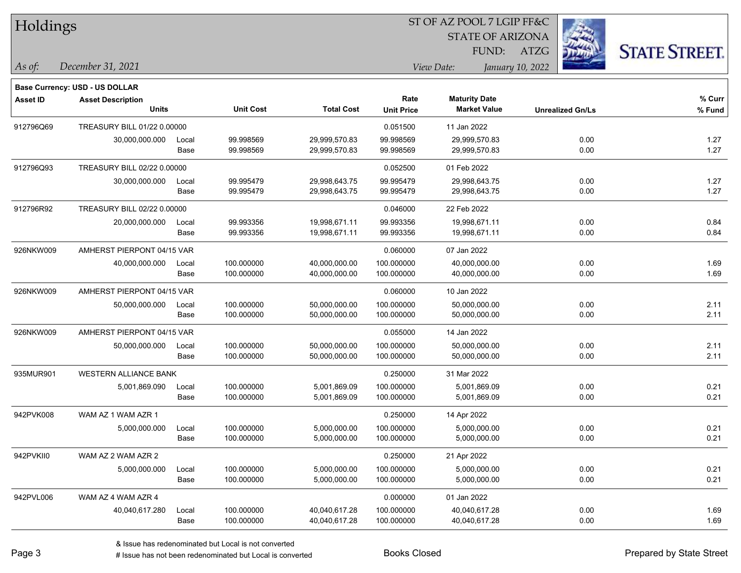| Holdings        |                                          |               |                  |                   |                           | ST OF AZ POOL 7 LGIP FF&C                   |                         |                         |                      |
|-----------------|------------------------------------------|---------------|------------------|-------------------|---------------------------|---------------------------------------------|-------------------------|-------------------------|----------------------|
|                 |                                          |               |                  |                   |                           |                                             | <b>STATE OF ARIZONA</b> |                         |                      |
|                 |                                          |               |                  |                   |                           | FUND:                                       | ATZG                    |                         | <b>STATE STREET.</b> |
| As of:          | December 31, 2021                        |               |                  |                   |                           | View Date:                                  | January 10, 2022        |                         |                      |
|                 |                                          |               |                  |                   |                           |                                             |                         |                         |                      |
|                 | Base Currency: USD - US DOLLAR           |               |                  |                   |                           |                                             |                         |                         |                      |
| <b>Asset ID</b> | <b>Asset Description</b><br><b>Units</b> |               | <b>Unit Cost</b> | <b>Total Cost</b> | Rate<br><b>Unit Price</b> | <b>Maturity Date</b><br><b>Market Value</b> |                         | <b>Unrealized Gn/Ls</b> | $%$ Curr<br>% Fund   |
| 912796Q69       | TREASURY BILL 01/22 0.00000              |               |                  |                   |                           | 11 Jan 2022                                 |                         |                         |                      |
|                 |                                          |               | 99.998569        | 29,999,570.83     | 0.051500<br>99.998569     | 29,999,570.83                               |                         | 0.00                    | 1.27                 |
|                 | 30,000,000.000                           | Local<br>Base | 99.998569        | 29,999,570.83     | 99.998569                 | 29,999,570.83                               |                         | 0.00                    | 1.27                 |
| 912796Q93       | TREASURY BILL 02/22 0.00000              |               |                  |                   | 0.052500                  | 01 Feb 2022                                 |                         |                         |                      |
|                 | 30,000,000.000                           | Local         | 99.995479        | 29,998,643.75     | 99.995479                 | 29,998,643.75                               |                         | 0.00                    | 1.27                 |
|                 |                                          | Base          | 99.995479        | 29,998,643.75     | 99.995479                 | 29,998,643.75                               |                         | 0.00                    | 1.27                 |
| 912796R92       | TREASURY BILL 02/22 0.00000              |               |                  |                   | 0.046000                  | 22 Feb 2022                                 |                         |                         |                      |
|                 | 20,000,000.000                           | Local         | 99.993356        | 19,998,671.11     | 99.993356                 | 19,998,671.11                               |                         | 0.00                    | 0.84                 |
|                 |                                          | Base          | 99.993356        | 19,998,671.11     | 99.993356                 | 19,998,671.11                               |                         | 0.00                    | 0.84                 |
| 926NKW009       | AMHERST PIERPONT 04/15 VAR               |               |                  |                   | 0.060000                  | 07 Jan 2022                                 |                         |                         |                      |
|                 | 40,000,000.000                           | Local         | 100.000000       | 40,000,000.00     | 100.000000                | 40,000,000.00                               |                         | 0.00                    | 1.69                 |
|                 |                                          | Base          | 100.000000       | 40,000,000.00     | 100.000000                | 40,000,000.00                               |                         | 0.00                    | 1.69                 |
| 926NKW009       | AMHERST PIERPONT 04/15 VAR               |               |                  |                   | 0.060000                  | 10 Jan 2022                                 |                         |                         |                      |
|                 | 50,000,000.000                           | Local         | 100.000000       | 50,000,000.00     | 100.000000                | 50,000,000.00                               |                         | 0.00                    | 2.11                 |
|                 |                                          | Base          | 100.000000       | 50,000,000.00     | 100.000000                | 50,000,000.00                               |                         | 0.00                    | 2.11                 |
| 926NKW009       | AMHERST PIERPONT 04/15 VAR               |               |                  |                   | 0.055000                  | 14 Jan 2022                                 |                         |                         |                      |
|                 | 50,000,000.000                           | Local         | 100.000000       | 50,000,000.00     | 100.000000                | 50,000,000.00                               |                         | 0.00                    | 2.11                 |
|                 |                                          | Base          | 100.000000       | 50,000,000.00     | 100.000000                | 50,000,000.00                               |                         | 0.00                    | 2.11                 |
| 935MUR901       | WESTERN ALLIANCE BANK                    |               |                  |                   | 0.250000                  | 31 Mar 2022                                 |                         |                         |                      |
|                 | 5,001,869.090                            | Local         | 100.000000       | 5,001,869.09      | 100.000000                | 5,001,869.09                                |                         | 0.00                    | 0.21                 |
|                 |                                          | Base          | 100.000000       | 5,001,869.09      | 100.000000                | 5,001,869.09                                |                         | 0.00                    | 0.21                 |
| 942PVK008       | WAM AZ 1 WAM AZR 1                       |               |                  |                   | 0.250000                  | 14 Apr 2022                                 |                         |                         |                      |
|                 | 5,000,000.000                            | Local         | 100.000000       | 5,000,000.00      | 100.000000                | 5,000,000.00                                |                         | 0.00                    | 0.21                 |
|                 |                                          | Base          | 100.000000       | 5,000,000.00      | 100.000000                | 5,000,000.00                                |                         | 0.00                    | 0.21                 |
| 942PVKII0       | WAM AZ 2 WAM AZR 2                       |               |                  |                   | 0.250000                  | 21 Apr 2022                                 |                         |                         |                      |
|                 | 5,000,000.000                            | Local         | 100.000000       | 5,000,000.00      | 100.000000                | 5,000,000.00                                |                         | 0.00                    | 0.21                 |
|                 |                                          | Base          | 100.000000       | 5,000,000.00      | 100.000000                | 5,000,000.00                                |                         | 0.00                    | 0.21                 |
| 942PVL006       | WAM AZ 4 WAM AZR 4                       |               |                  |                   | 0.000000                  | 01 Jan 2022                                 |                         |                         |                      |
|                 | 40,040,617.280                           | Local         | 100.000000       | 40,040,617.28     | 100.000000                | 40,040,617.28                               |                         | 0.00                    | 1.69                 |
|                 |                                          | Base          | 100.000000       | 40,040,617.28     | 100.000000                | 40,040,617.28                               |                         | 0.00                    | 1.69                 |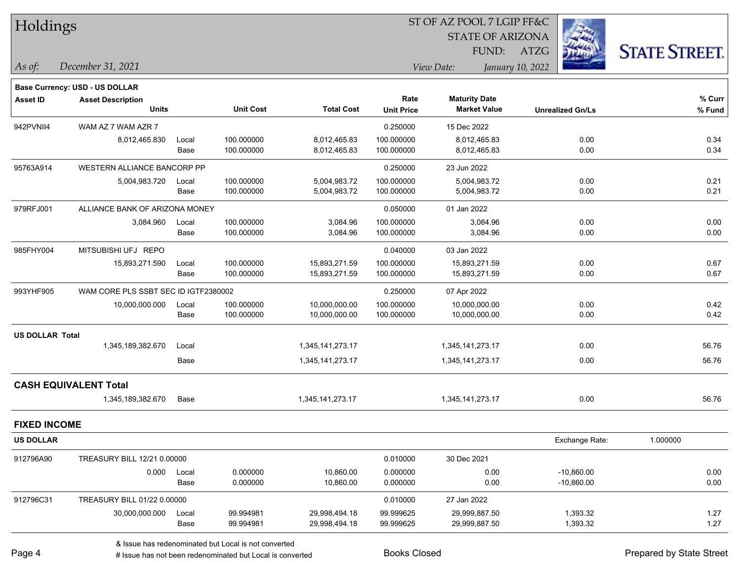| Holdings               |                                          |               |                          |                                |                           | ST OF AZ POOL 7 LGIP FF&C                   |                         |                     |
|------------------------|------------------------------------------|---------------|--------------------------|--------------------------------|---------------------------|---------------------------------------------|-------------------------|---------------------|
|                        |                                          |               |                          |                                |                           | <b>STATE OF ARIZONA</b>                     |                         |                     |
|                        |                                          |               |                          |                                |                           | FUND:                                       | ATZG                    | <b>STATE STREET</b> |
| As of:                 | December 31, 2021                        |               |                          |                                |                           | View Date:                                  | January 10, 2022        |                     |
|                        | <b>Base Currency: USD - US DOLLAR</b>    |               |                          |                                |                           |                                             |                         |                     |
| <b>Asset ID</b>        | <b>Asset Description</b><br><b>Units</b> |               | <b>Unit Cost</b>         | <b>Total Cost</b>              | Rate<br><b>Unit Price</b> | <b>Maturity Date</b><br><b>Market Value</b> | <b>Unrealized Gn/Ls</b> | % Curr<br>% Fund    |
| 942PVNII4              | WAM AZ 7 WAM AZR 7                       |               |                          |                                | 0.250000                  | 15 Dec 2022                                 |                         |                     |
|                        | 8,012,465.830                            | Local         | 100.000000               | 8,012,465.83                   | 100.000000                | 8,012,465.83                                | 0.00                    | 0.34                |
|                        |                                          | Base          | 100.000000               | 8,012,465.83                   | 100.000000                | 8,012,465.83                                | 0.00                    | 0.34                |
| 95763A914              | WESTERN ALLIANCE BANCORP PP              |               |                          |                                | 0.250000                  | 23 Jun 2022                                 |                         |                     |
|                        | 5,004,983.720                            | Local<br>Base | 100.000000<br>100.000000 | 5,004,983.72                   | 100.000000                | 5,004,983.72                                | 0.00<br>0.00            | 0.21<br>0.21        |
|                        |                                          |               |                          | 5,004,983.72                   | 100.000000                | 5,004,983.72                                |                         |                     |
| 979RFJ001              | ALLIANCE BANK OF ARIZONA MONEY           |               |                          |                                | 0.050000                  | 01 Jan 2022                                 |                         |                     |
|                        | 3,084.960                                | Local<br>Base | 100.000000<br>100.000000 | 3,084.96<br>3,084.96           | 100.000000<br>100.000000  | 3,084.96<br>3,084.96                        | 0.00<br>0.00            | 0.00<br>0.00        |
|                        |                                          |               |                          |                                |                           |                                             |                         |                     |
| 985FHY004              | MITSUBISHI UFJ REPO                      |               |                          |                                | 0.040000                  | 03 Jan 2022                                 |                         |                     |
|                        | 15,893,271.590                           | Local<br>Base | 100.000000<br>100.000000 | 15,893,271.59<br>15,893,271.59 | 100.000000<br>100.000000  | 15,893,271.59<br>15,893,271.59              | 0.00<br>0.00            | 0.67<br>0.67        |
| 993YHF905              | WAM CORE PLS SSBT SEC ID IGTF2380002     |               |                          |                                | 0.250000                  | 07 Apr 2022                                 |                         |                     |
|                        | 10,000,000.000                           | Local         | 100.000000               | 10,000,000.00                  | 100.000000                | 10,000,000.00                               | 0.00                    | 0.42                |
|                        |                                          | Base          | 100.000000               | 10,000,000.00                  | 100.000000                | 10,000,000.00                               | 0.00                    | 0.42                |
| <b>US DOLLAR Total</b> |                                          |               |                          |                                |                           |                                             |                         |                     |
|                        | 1,345,189,382.670                        | Local         |                          | 1,345,141,273.17               |                           | 1,345,141,273.17                            | 0.00                    | 56.76               |
|                        |                                          | Base          |                          | 1,345,141,273.17               |                           | 1,345,141,273.17                            | 0.00                    | 56.76               |
|                        | <b>CASH EQUIVALENT Total</b>             |               |                          |                                |                           |                                             |                         |                     |
|                        | 1,345,189,382.670                        | Base          |                          | 1,345,141,273.17               |                           | 1,345,141,273.17                            | 0.00                    | 56.76               |
| <b>FIXED INCOME</b>    |                                          |               |                          |                                |                           |                                             |                         |                     |
| <b>US DOLLAR</b>       |                                          |               |                          |                                |                           |                                             | Exchange Rate:          | 1.000000            |
| 912796A90              | TREASURY BILL 12/21 0.00000              |               |                          |                                | 0.010000                  | 30 Dec 2021                                 |                         |                     |
|                        | 0.000                                    | Local         | 0.000000                 | 10,860.00                      | 0.000000                  | 0.00                                        | $-10,860.00$            | 0.00                |
|                        |                                          | Base          | 0.000000                 | 10,860.00                      | 0.000000                  | 0.00                                        | $-10,860.00$            | 0.00                |
| 912796C31              | TREASURY BILL 01/22 0.00000              |               |                          |                                | 0.010000                  | 27 Jan 2022                                 |                         |                     |
|                        | 30,000,000.000                           | Local         | 99.994981                | 29,998,494.18                  | 99.999625                 | 29,999,887.50                               | 1,393.32                | 1.27                |
|                        |                                          | Base          | 99.994981                | 29,998,494.18                  | 99.999625                 | 29,999,887.50                               | 1,393.32                | 1.27                |

& Issue has redenominated but Local is not converted

# Issue has not been redenominated but Local is converted Books Closed Prepared by State Street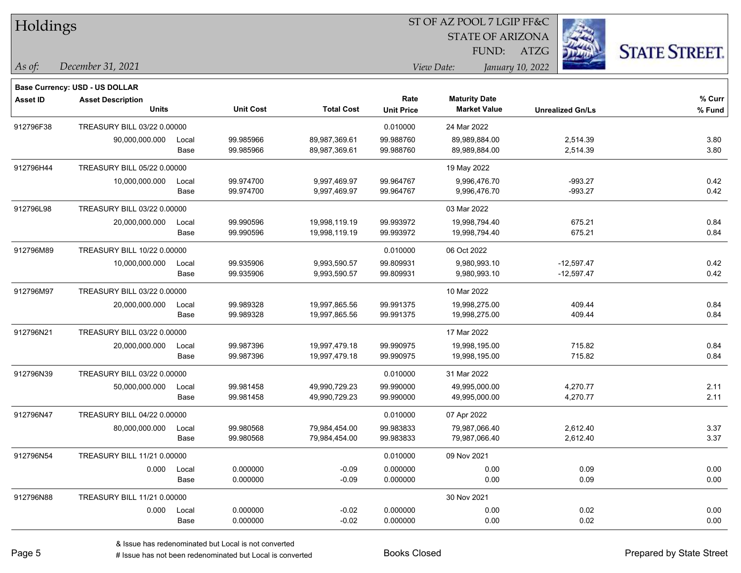| Holdings        |                                       |       |                  |                   |                   | ST OF AZ POOL 7 LGIP FF&C |                         |                      |  |
|-----------------|---------------------------------------|-------|------------------|-------------------|-------------------|---------------------------|-------------------------|----------------------|--|
|                 |                                       |       |                  |                   |                   | <b>STATE OF ARIZONA</b>   |                         |                      |  |
|                 |                                       |       |                  |                   |                   | FUND:                     | ATZG                    | <b>STATE STREET.</b> |  |
| As of:          | December 31, 2021                     |       |                  |                   |                   | View Date:                | January 10, 2022        |                      |  |
|                 | <b>Base Currency: USD - US DOLLAR</b> |       |                  |                   |                   |                           |                         |                      |  |
| <b>Asset ID</b> | <b>Asset Description</b>              |       |                  |                   | Rate              | <b>Maturity Date</b>      |                         | % Curr               |  |
|                 | <b>Units</b>                          |       | <b>Unit Cost</b> | <b>Total Cost</b> | <b>Unit Price</b> | <b>Market Value</b>       | <b>Unrealized Gn/Ls</b> | % Fund               |  |
| 912796F38       | TREASURY BILL 03/22 0.00000           |       |                  |                   | 0.010000          | 24 Mar 2022               |                         |                      |  |
|                 | 90,000,000.000                        | Local | 99.985966        | 89,987,369.61     | 99.988760         | 89,989,884.00             | 2,514.39                | 3.80                 |  |
|                 |                                       | Base  | 99.985966        | 89,987,369.61     | 99.988760         | 89,989,884.00             | 2,514.39                | 3.80                 |  |
| 912796H44       | TREASURY BILL 05/22 0.00000           |       |                  |                   |                   | 19 May 2022               |                         |                      |  |
|                 | 10,000,000.000                        | Local | 99.974700        | 9,997,469.97      | 99.964767         | 9,996,476.70              | $-993.27$               | 0.42                 |  |
|                 |                                       | Base  | 99.974700        | 9,997,469.97      | 99.964767         | 9,996,476.70              | $-993.27$               | 0.42                 |  |
| 912796L98       | TREASURY BILL 03/22 0.00000           |       |                  |                   |                   | 03 Mar 2022               |                         |                      |  |
|                 | 20,000,000.000                        | Local | 99.990596        | 19,998,119.19     | 99.993972         | 19,998,794.40             | 675.21                  | 0.84                 |  |
|                 |                                       | Base  | 99.990596        | 19,998,119.19     | 99.993972         | 19,998,794.40             | 675.21                  | 0.84                 |  |
| 912796M89       | TREASURY BILL 10/22 0.00000           |       |                  |                   | 0.010000          | 06 Oct 2022               |                         |                      |  |
|                 | 10,000,000.000                        | Local | 99.935906        | 9,993,590.57      | 99.809931         | 9,980,993.10              | $-12,597.47$            | 0.42                 |  |
|                 |                                       | Base  | 99.935906        | 9,993,590.57      | 99.809931         | 9,980,993.10              | $-12,597.47$            | 0.42                 |  |
| 912796M97       | TREASURY BILL 03/22 0.00000           |       |                  |                   |                   | 10 Mar 2022               |                         |                      |  |
|                 | 20,000,000.000                        | Local | 99.989328        | 19,997,865.56     | 99.991375         | 19,998,275.00             | 409.44                  | 0.84                 |  |
|                 |                                       | Base  | 99.989328        | 19,997,865.56     | 99.991375         | 19,998,275.00             | 409.44                  | 0.84                 |  |
| 912796N21       | TREASURY BILL 03/22 0.00000           |       |                  |                   |                   | 17 Mar 2022               |                         |                      |  |
|                 | 20,000,000.000                        | Local | 99.987396        | 19,997,479.18     | 99.990975         | 19,998,195.00             | 715.82                  | 0.84                 |  |
|                 |                                       | Base  | 99.987396        | 19,997,479.18     | 99.990975         | 19,998,195.00             | 715.82                  | 0.84                 |  |
| 912796N39       | TREASURY BILL 03/22 0.00000           |       |                  |                   | 0.010000          | 31 Mar 2022               |                         |                      |  |
|                 | 50,000,000.000                        | Local | 99.981458        | 49,990,729.23     | 99.990000         | 49,995,000.00             | 4,270.77                | 2.11                 |  |
|                 |                                       | Base  | 99.981458        | 49,990,729.23     | 99.990000         | 49,995,000.00             | 4,270.77                | 2.11                 |  |
| 912796N47       | TREASURY BILL 04/22 0.00000           |       |                  |                   | 0.010000          | 07 Apr 2022               |                         |                      |  |
|                 | 80,000,000.000                        | Local | 99.980568        | 79,984,454.00     | 99.983833         | 79,987,066.40             | 2,612.40                | 3.37                 |  |
|                 |                                       | Base  | 99.980568        | 79,984,454.00     | 99.983833         | 79,987,066.40             | 2,612.40                | 3.37                 |  |
| 912796N54       | TREASURY BILL 11/21 0.00000           |       |                  |                   | 0.010000          | 09 Nov 2021               |                         |                      |  |
|                 | 0.000                                 | Local | 0.000000         | $-0.09$           | 0.000000          | 0.00                      | 0.09                    | 0.00                 |  |
|                 |                                       | Base  | 0.000000         | $-0.09$           | 0.000000          | 0.00                      | 0.09                    | 0.00                 |  |
| 912796N88       | TREASURY BILL 11/21 0.00000           |       |                  |                   |                   | 30 Nov 2021               |                         |                      |  |
|                 | 0.000                                 | Local | 0.000000         | $-0.02$           | 0.000000          | 0.00                      | 0.02                    | 0.00                 |  |
|                 |                                       | Base  | 0.000000         | $-0.02$           | 0.000000          | 0.00                      | 0.02                    | 0.00                 |  |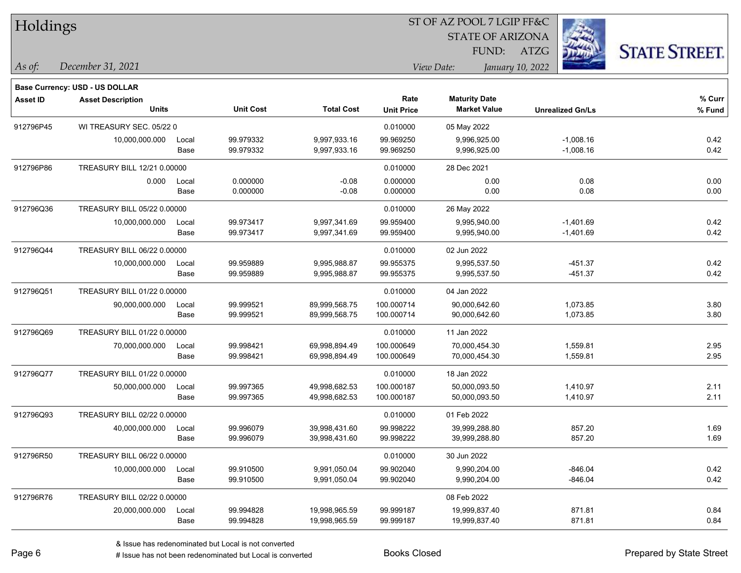| Holdings        |                                       |       |                  |                   |                   | 51 OF AZ POOL 7 LGIP FF&C |                         |                      |
|-----------------|---------------------------------------|-------|------------------|-------------------|-------------------|---------------------------|-------------------------|----------------------|
|                 |                                       |       |                  |                   |                   | <b>STATE OF ARIZONA</b>   |                         |                      |
|                 |                                       |       |                  |                   |                   | FUND:                     | ATZG                    | <b>STATE STREET.</b> |
| As of:          | December 31, 2021                     |       |                  |                   |                   | View Date:                | January 10, 2022        |                      |
|                 | <b>Base Currency: USD - US DOLLAR</b> |       |                  |                   |                   |                           |                         |                      |
| <b>Asset ID</b> | <b>Asset Description</b>              |       |                  |                   | Rate              | <b>Maturity Date</b>      |                         | % Curr               |
|                 | <b>Units</b>                          |       | <b>Unit Cost</b> | <b>Total Cost</b> | <b>Unit Price</b> | <b>Market Value</b>       | <b>Unrealized Gn/Ls</b> | % Fund               |
| 912796P45       | WI TREASURY SEC. 05/22 0              |       |                  |                   | 0.010000          | 05 May 2022               |                         |                      |
|                 | 10,000,000.000                        | Local | 99.979332        | 9,997,933.16      | 99.969250         | 9,996,925.00              | $-1,008.16$             | 0.42                 |
|                 |                                       | Base  | 99.979332        | 9,997,933.16      | 99.969250         | 9,996,925.00              | $-1,008.16$             | 0.42                 |
| 912796P86       | TREASURY BILL 12/21 0.00000           |       |                  |                   | 0.010000          | 28 Dec 2021               |                         |                      |
|                 | 0.000                                 | Local | 0.000000         | $-0.08$           | 0.000000          | 0.00                      | 0.08                    | 0.00                 |
|                 |                                       | Base  | 0.000000         | $-0.08$           | 0.000000          | 0.00                      | 0.08                    | 0.00                 |
| 912796Q36       | TREASURY BILL 05/22 0.00000           |       |                  |                   | 0.010000          | 26 May 2022               |                         |                      |
|                 | 10,000,000.000                        | Local | 99.973417        | 9,997,341.69      | 99.959400         | 9,995,940.00              | $-1,401.69$             | 0.42                 |
|                 |                                       | Base  | 99.973417        | 9,997,341.69      | 99.959400         | 9,995,940.00              | $-1,401.69$             | 0.42                 |
| 912796Q44       | TREASURY BILL 06/22 0.00000           |       |                  |                   | 0.010000          | 02 Jun 2022               |                         |                      |
|                 | 10,000,000.000                        | Local | 99.959889        | 9,995,988.87      | 99.955375         | 9,995,537.50              | $-451.37$               | 0.42                 |
|                 |                                       | Base  | 99.959889        | 9,995,988.87      | 99.955375         | 9,995,537.50              | $-451.37$               | 0.42                 |
| 912796Q51       | TREASURY BILL 01/22 0.00000           |       |                  |                   | 0.010000          | 04 Jan 2022               |                         |                      |
|                 | 90,000,000.000                        | Local | 99.999521        | 89,999,568.75     | 100.000714        | 90,000,642.60             | 1,073.85                | 3.80                 |
|                 |                                       | Base  | 99.999521        | 89,999,568.75     | 100.000714        | 90,000,642.60             | 1,073.85                | 3.80                 |
| 912796Q69       | TREASURY BILL 01/22 0.00000           |       |                  |                   | 0.010000          | 11 Jan 2022               |                         |                      |
|                 | 70,000,000.000                        | Local | 99.998421        | 69,998,894.49     | 100.000649        | 70,000,454.30             | 1,559.81                | 2.95                 |
|                 |                                       | Base  | 99.998421        | 69,998,894.49     | 100.000649        | 70,000,454.30             | 1,559.81                | 2.95                 |
| 912796Q77       | TREASURY BILL 01/22 0.00000           |       |                  |                   | 0.010000          | 18 Jan 2022               |                         |                      |
|                 | 50,000,000.000                        | Local | 99.997365        | 49,998,682.53     | 100.000187        | 50,000,093.50             | 1,410.97                | 2.11                 |
|                 |                                       | Base  | 99.997365        | 49,998,682.53     | 100.000187        | 50,000,093.50             | 1,410.97                | 2.11                 |
| 912796Q93       | TREASURY BILL 02/22 0.00000           |       |                  |                   | 0.010000          | 01 Feb 2022               |                         |                      |
|                 | 40,000,000.000                        | Local | 99.996079        | 39,998,431.60     | 99.998222         | 39,999,288.80             | 857.20                  | 1.69                 |
|                 |                                       | Base  | 99.996079        | 39,998,431.60     | 99.998222         | 39,999,288.80             | 857.20                  | 1.69                 |
| 912796R50       | TREASURY BILL 06/22 0.00000           |       |                  |                   | 0.010000          | 30 Jun 2022               |                         |                      |
|                 | 10,000,000.000                        | Local | 99.910500        | 9,991,050.04      | 99.902040         | 9,990,204.00              | $-846.04$               | 0.42                 |
|                 |                                       | Base  | 99.910500        | 9,991,050.04      | 99.902040         | 9,990,204.00              | $-846.04$               | 0.42                 |
| 912796R76       | TREASURY BILL 02/22 0.00000           |       |                  |                   |                   | 08 Feb 2022               |                         |                      |
|                 | 20,000,000.000                        | Local | 99.994828        | 19,998,965.59     | 99.999187         | 19,999,837.40             | 871.81                  | 0.84                 |
|                 |                                       | Base  | 99.994828        | 19,998,965.59     | 99.999187         | 19,999,837.40             | 871.81                  | 0.84                 |

 $\overline{\text{SD} + \text{F} \text{DO} \text{O} \text{F} + \text{F} \text{O} \text{O} \text{F}}$ 

٦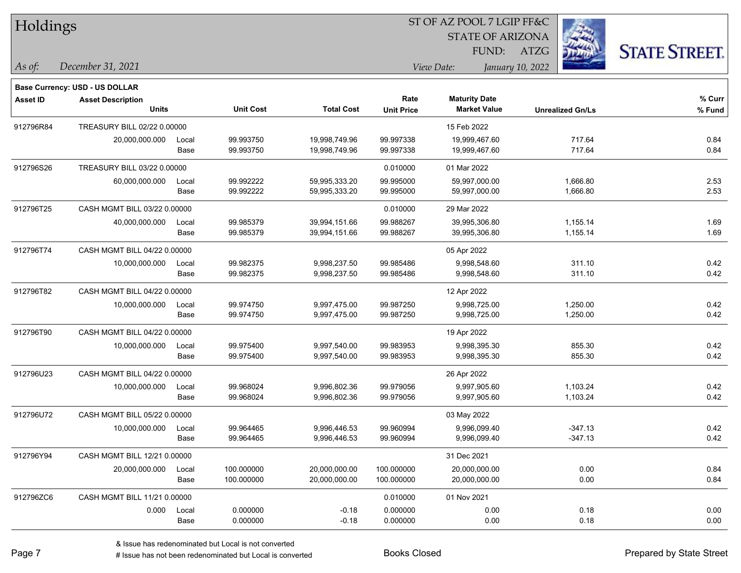| Holdings  |                                       |       |                  |                   |                   | ST OF AZ POOL 7 LGIP FF&C |                         |                      |
|-----------|---------------------------------------|-------|------------------|-------------------|-------------------|---------------------------|-------------------------|----------------------|
|           |                                       |       |                  |                   |                   | <b>STATE OF ARIZONA</b>   |                         |                      |
|           |                                       |       |                  |                   |                   | FUND:                     | $\frac{1}{2}$<br>ATZG   | <b>STATE STREET.</b> |
| As of:    | December 31, 2021                     |       |                  |                   |                   | View Date:                | January 10, 2022        |                      |
|           | <b>Base Currency: USD - US DOLLAR</b> |       |                  |                   |                   |                           |                         |                      |
| Asset ID  | <b>Asset Description</b>              |       |                  |                   | Rate              | <b>Maturity Date</b>      |                         | % Curr               |
|           | <b>Units</b>                          |       | <b>Unit Cost</b> | <b>Total Cost</b> | <b>Unit Price</b> | <b>Market Value</b>       | <b>Unrealized Gn/Ls</b> | % Fund               |
| 912796R84 | TREASURY BILL 02/22 0.00000           |       |                  |                   |                   | 15 Feb 2022               |                         |                      |
|           | 20,000,000.000                        | Local | 99.993750        | 19,998,749.96     | 99.997338         | 19,999,467.60             | 717.64                  | 0.84                 |
|           |                                       | Base  | 99.993750        | 19,998,749.96     | 99.997338         | 19,999,467.60             | 717.64                  | 0.84                 |
| 912796S26 | TREASURY BILL 03/22 0.00000           |       |                  |                   | 0.010000          | 01 Mar 2022               |                         |                      |
|           | 60,000,000.000                        | Local | 99.992222        | 59,995,333.20     | 99.995000         | 59,997,000.00             | 1,666.80                | 2.53                 |
|           |                                       | Base  | 99.992222        | 59,995,333.20     | 99.995000         | 59,997,000.00             | 1,666.80                | 2.53                 |
| 912796T25 | CASH MGMT BILL 03/22 0.00000          |       |                  |                   | 0.010000          | 29 Mar 2022               |                         |                      |
|           | 40,000,000.000                        | Local | 99.985379        | 39,994,151.66     | 99.988267         | 39,995,306.80             | 1,155.14                | 1.69                 |
|           |                                       | Base  | 99.985379        | 39,994,151.66     | 99.988267         | 39,995,306.80             | 1,155.14                | 1.69                 |
| 912796T74 | CASH MGMT BILL 04/22 0.00000          |       |                  |                   |                   | 05 Apr 2022               |                         |                      |
|           | 10,000,000.000                        | Local | 99.982375        | 9,998,237.50      | 99.985486         | 9,998,548.60              | 311.10                  | 0.42                 |
|           |                                       | Base  | 99.982375        | 9,998,237.50      | 99.985486         | 9,998,548.60              | 311.10                  | 0.42                 |
| 912796T82 | CASH MGMT BILL 04/22 0.00000          |       |                  |                   |                   | 12 Apr 2022               |                         |                      |
|           | 10,000,000.000                        | Local | 99.974750        | 9,997,475.00      | 99.987250         | 9,998,725.00              | 1,250.00                | 0.42                 |
|           |                                       | Base  | 99.974750        | 9,997,475.00      | 99.987250         | 9,998,725.00              | 1,250.00                | 0.42                 |
| 912796T90 | CASH MGMT BILL 04/22 0.00000          |       |                  |                   |                   | 19 Apr 2022               |                         |                      |
|           | 10,000,000.000                        | Local | 99.975400        | 9,997,540.00      | 99.983953         | 9,998,395.30              | 855.30                  | 0.42                 |
|           |                                       | Base  | 99.975400        | 9,997,540.00      | 99.983953         | 9,998,395.30              | 855.30                  | 0.42                 |
| 912796U23 | CASH MGMT BILL 04/22 0.00000          |       |                  |                   |                   | 26 Apr 2022               |                         |                      |
|           | 10,000,000.000                        | Local | 99.968024        | 9,996,802.36      | 99.979056         | 9,997,905.60              | 1,103.24                | 0.42                 |
|           |                                       | Base  | 99.968024        | 9,996,802.36      | 99.979056         | 9,997,905.60              | 1,103.24                | 0.42                 |
| 912796U72 | CASH MGMT BILL 05/22 0.00000          |       |                  |                   |                   | 03 May 2022               |                         |                      |
|           | 10,000,000.000                        | Local | 99.964465        | 9,996,446.53      | 99.960994         | 9,996,099.40              | $-347.13$               | 0.42                 |
|           |                                       | Base  | 99.964465        | 9,996,446.53      | 99.960994         | 9,996,099.40              | $-347.13$               | 0.42                 |
| 912796Y94 | CASH MGMT BILL 12/21 0.00000          |       |                  |                   |                   | 31 Dec 2021               |                         |                      |
|           | 20,000,000.000                        | Local | 100.000000       | 20,000,000.00     | 100.000000        | 20,000,000.00             | 0.00                    | 0.84                 |
|           |                                       | Base  | 100.000000       | 20,000,000.00     | 100.000000        | 20,000,000.00             | 0.00                    | 0.84                 |
| 912796ZC6 | CASH MGMT BILL 11/21 0.00000          |       |                  |                   | 0.010000          | 01 Nov 2021               |                         |                      |
|           | 0.000                                 | Local | 0.000000         | $-0.18$           | 0.000000          | 0.00                      | 0.18                    | 0.00                 |
|           |                                       | Base  | 0.000000         | $-0.18$           | 0.000000          | 0.00                      | 0.18                    | 0.00                 |

ST OF AZ POOL 7 LGIP FF&C

П

 $\overline{\phantom{0}}$ 

 $\overline{\phantom{0}}$ 

 $\overline{\phantom{0}}$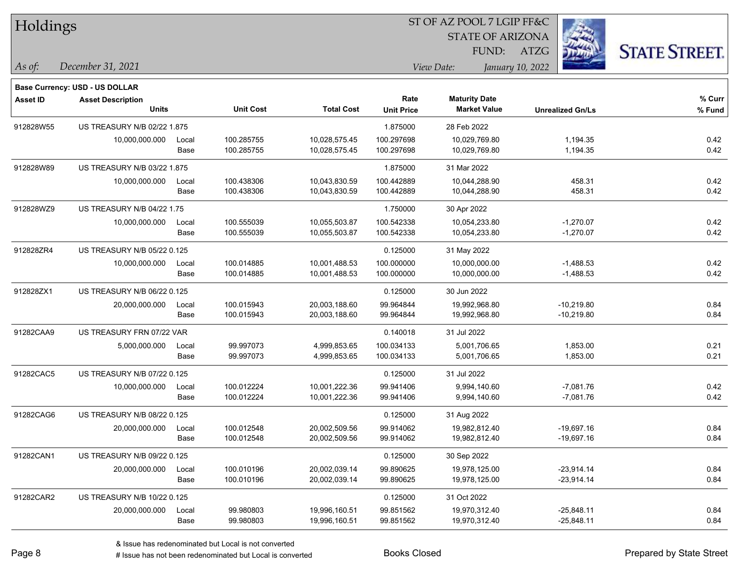| Holdings        |                                |       |                  |                   |                   | 51 OF AZ POOL 7 LGIP FF&C |                         |                      |
|-----------------|--------------------------------|-------|------------------|-------------------|-------------------|---------------------------|-------------------------|----------------------|
|                 |                                |       |                  |                   |                   | <b>STATE OF ARIZONA</b>   |                         |                      |
|                 |                                |       |                  |                   |                   | FUND:                     | ATZG                    | <b>STATE STREET.</b> |
| $As$ of:        | December 31, 2021              |       |                  |                   |                   | View Date:                | January 10, 2022        |                      |
|                 | Base Currency: USD - US DOLLAR |       |                  |                   |                   |                           |                         |                      |
| <b>Asset ID</b> | <b>Asset Description</b>       |       |                  |                   | Rate              | <b>Maturity Date</b>      |                         | % Curr               |
|                 | <b>Units</b>                   |       | <b>Unit Cost</b> | <b>Total Cost</b> | <b>Unit Price</b> | <b>Market Value</b>       | <b>Unrealized Gn/Ls</b> | % Fund               |
| 912828W55       | US TREASURY N/B 02/22 1.875    |       |                  |                   | 1.875000          | 28 Feb 2022               |                         |                      |
|                 | 10,000,000.000                 | Local | 100.285755       | 10,028,575.45     | 100.297698        | 10,029,769.80             | 1,194.35                | 0.42                 |
|                 |                                | Base  | 100.285755       | 10,028,575.45     | 100.297698        | 10,029,769.80             | 1,194.35                | 0.42                 |
| 912828W89       | US TREASURY N/B 03/22 1.875    |       |                  |                   | 1.875000          | 31 Mar 2022               |                         |                      |
|                 | 10,000,000.000                 | Local | 100.438306       | 10,043,830.59     | 100.442889        | 10,044,288.90             | 458.31                  | 0.42                 |
|                 |                                | Base  | 100.438306       | 10,043,830.59     | 100.442889        | 10,044,288.90             | 458.31                  | 0.42                 |
| 912828WZ9       | US TREASURY N/B 04/22 1.75     |       |                  |                   | 1.750000          | 30 Apr 2022               |                         |                      |
|                 | 10,000,000.000                 | Local | 100.555039       | 10,055,503.87     | 100.542338        | 10,054,233.80             | $-1,270.07$             | 0.42                 |
|                 |                                | Base  | 100.555039       | 10,055,503.87     | 100.542338        | 10,054,233.80             | $-1,270.07$             | 0.42                 |
| 912828ZR4       | US TREASURY N/B 05/22 0.125    |       |                  |                   | 0.125000          | 31 May 2022               |                         |                      |
|                 | 10,000,000.000                 | Local | 100.014885       | 10,001,488.53     | 100.000000        | 10,000,000.00             | $-1,488.53$             | 0.42                 |
|                 |                                | Base  | 100.014885       | 10,001,488.53     | 100.000000        | 10,000,000.00             | $-1,488.53$             | 0.42                 |
| 912828ZX1       | US TREASURY N/B 06/22 0.125    |       |                  |                   | 0.125000          | 30 Jun 2022               |                         |                      |
|                 | 20,000,000.000                 | Local | 100.015943       | 20,003,188.60     | 99.964844         | 19,992,968.80             | $-10,219.80$            | 0.84                 |
|                 |                                | Base  | 100.015943       | 20,003,188.60     | 99.964844         | 19,992,968.80             | $-10,219.80$            | 0.84                 |
| 91282CAA9       | US TREASURY FRN 07/22 VAR      |       |                  |                   | 0.140018          | 31 Jul 2022               |                         |                      |
|                 | 5,000,000.000                  | Local | 99.997073        | 4,999,853.65      | 100.034133        | 5,001,706.65              | 1,853.00                | 0.21                 |
|                 |                                | Base  | 99.997073        | 4,999,853.65      | 100.034133        | 5,001,706.65              | 1,853.00                | 0.21                 |
| 91282CAC5       | US TREASURY N/B 07/22 0.125    |       |                  |                   | 0.125000          | 31 Jul 2022               |                         |                      |
|                 | 10,000,000.000                 | Local | 100.012224       | 10,001,222.36     | 99.941406         | 9,994,140.60              | $-7,081.76$             | 0.42                 |
|                 |                                | Base  | 100.012224       | 10,001,222.36     | 99.941406         | 9,994,140.60              | $-7,081.76$             | 0.42                 |
| 91282CAG6       | US TREASURY N/B 08/22 0.125    |       |                  |                   | 0.125000          | 31 Aug 2022               |                         |                      |
|                 | 20,000,000.000                 | Local | 100.012548       | 20,002,509.56     | 99.914062         | 19,982,812.40             | $-19,697.16$            | 0.84                 |
|                 |                                | Base  | 100.012548       | 20,002,509.56     | 99.914062         | 19,982,812.40             | $-19,697.16$            | 0.84                 |
| 91282CAN1       | US TREASURY N/B 09/22 0.125    |       |                  |                   | 0.125000          | 30 Sep 2022               |                         |                      |
|                 | 20,000,000.000                 | Local | 100.010196       | 20,002,039.14     | 99.890625         | 19,978,125.00             | $-23,914.14$            | 0.84                 |
|                 |                                | Base  | 100.010196       | 20,002,039.14     | 99.890625         | 19,978,125.00             | $-23,914.14$            | 0.84                 |
| 91282CAR2       | US TREASURY N/B 10/22 0.125    |       |                  |                   | 0.125000          | 31 Oct 2022               |                         |                      |
|                 | 20,000,000.000                 | Local | 99.980803        | 19,996,160.51     | 99.851562         | 19,970,312.40             | $-25,848.11$            | 0.84                 |
|                 |                                | Base  | 99.980803        | 19,996,160.51     | 99.851562         | 19,970,312.40             | $-25,848.11$            | 0.84                 |

 $ST$  OF A Z POOL 7 LCIP FF&C

# Issue has not been redenominated but Local is converted Books Closed Prepared by State Street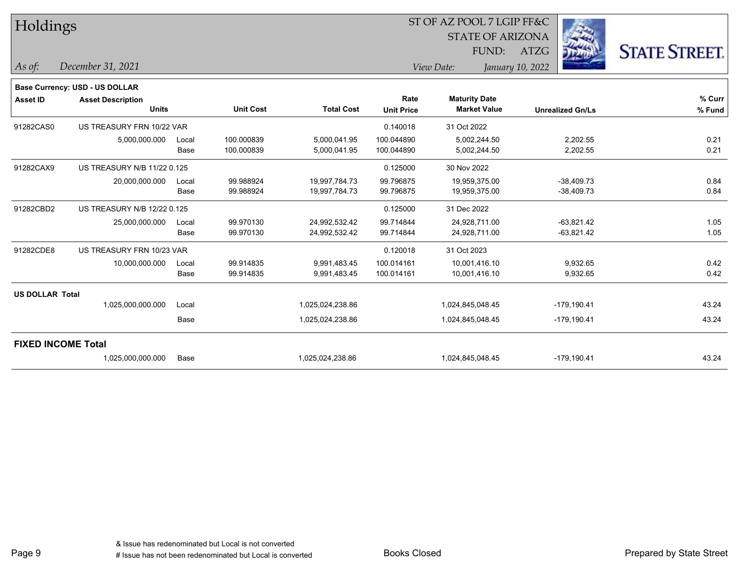| Holdings                  |                                       |       |                  |                   |                   | ST OF AZ POOL 7 LGIP FF&C |                  |                         |                      |
|---------------------------|---------------------------------------|-------|------------------|-------------------|-------------------|---------------------------|------------------|-------------------------|----------------------|
|                           |                                       |       |                  |                   |                   | <b>STATE OF ARIZONA</b>   |                  |                         |                      |
|                           |                                       |       |                  |                   |                   | FUND:                     | <b>ATZG</b>      |                         | <b>STATE STREET.</b> |
| As of:                    | December 31, 2021                     |       |                  |                   |                   | View Date:                | January 10, 2022 |                         |                      |
|                           | <b>Base Currency: USD - US DOLLAR</b> |       |                  |                   |                   |                           |                  |                         |                      |
| <b>Asset ID</b>           | <b>Asset Description</b>              |       |                  |                   | Rate              | <b>Maturity Date</b>      |                  |                         | % Curr               |
|                           | <b>Units</b>                          |       | <b>Unit Cost</b> | <b>Total Cost</b> | <b>Unit Price</b> | <b>Market Value</b>       |                  | <b>Unrealized Gn/Ls</b> | % Fund               |
| 91282CAS0                 | US TREASURY FRN 10/22 VAR             |       |                  |                   | 0.140018          | 31 Oct 2022               |                  |                         |                      |
|                           | 5,000,000.000                         | Local | 100.000839       | 5,000,041.95      | 100.044890        | 5,002,244.50              |                  | 2,202.55                | 0.21                 |
|                           |                                       | Base  | 100.000839       | 5,000,041.95      | 100.044890        | 5,002,244.50              |                  | 2,202.55                | 0.21                 |
| 91282CAX9                 | <b>US TREASURY N/B 11/22 0.125</b>    |       |                  |                   | 0.125000          | 30 Nov 2022               |                  |                         |                      |
|                           | 20,000,000.000                        | Local | 99.988924        | 19,997,784.73     | 99.796875         | 19,959,375.00             |                  | $-38,409.73$            | 0.84                 |
|                           |                                       | Base  | 99.988924        | 19,997,784.73     | 99.796875         | 19,959,375.00             |                  | $-38,409.73$            | 0.84                 |
| 91282CBD2                 | US TREASURY N/B 12/22 0.125           |       |                  |                   | 0.125000          | 31 Dec 2022               |                  |                         |                      |
|                           | 25,000,000.000                        | Local | 99.970130        | 24,992,532.42     | 99.714844         | 24,928,711.00             |                  | $-63,821.42$            | 1.05                 |
|                           |                                       | Base  | 99.970130        | 24,992,532.42     | 99.714844         | 24,928,711.00             |                  | $-63,821.42$            | 1.05                 |
| 91282CDE8                 | US TREASURY FRN 10/23 VAR             |       |                  |                   | 0.120018          | 31 Oct 2023               |                  |                         |                      |
|                           | 10,000,000.000                        | Local | 99.914835        | 9,991,483.45      | 100.014161        | 10,001,416.10             |                  | 9,932.65                | 0.42                 |
|                           |                                       | Base  | 99.914835        | 9,991,483.45      | 100.014161        | 10,001,416.10             |                  | 9,932.65                | 0.42                 |
| <b>US DOLLAR Total</b>    |                                       |       |                  |                   |                   |                           |                  |                         |                      |
|                           | 1,025,000,000.000                     | Local |                  | 1,025,024,238.86  |                   | 1,024,845,048.45          |                  | $-179,190.41$           | 43.24                |
|                           |                                       | Base  |                  | 1,025,024,238.86  |                   | 1,024,845,048.45          |                  | $-179, 190.41$          | 43.24                |
| <b>FIXED INCOME Total</b> |                                       |       |                  |                   |                   |                           |                  |                         |                      |
|                           | 1,025,000,000.000                     | Base  |                  | 1,025,024,238.86  |                   | 1,024,845,048.45          |                  | $-179, 190.41$          | 43.24                |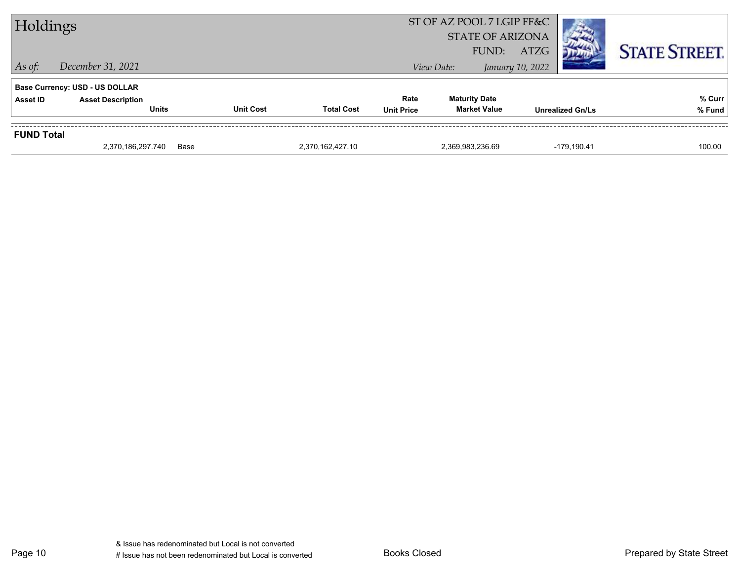| Holdings          |                                          |                  |                   |                   | ST OF AZ POOL 7 LGIP FF&C<br><b>STATE OF ARIZONA</b><br>FUND: | ATZG             |                         | <b>STATE STREET.</b> |
|-------------------|------------------------------------------|------------------|-------------------|-------------------|---------------------------------------------------------------|------------------|-------------------------|----------------------|
| $\vert$ As of:    | December 31, 2021                        |                  |                   |                   | View Date:                                                    | January 10, 2022 |                         |                      |
|                   | <b>Base Currency: USD - US DOLLAR</b>    |                  |                   |                   |                                                               |                  |                         |                      |
| <b>Asset ID</b>   | <b>Asset Description</b><br><b>Units</b> | <b>Unit Cost</b> | <b>Total Cost</b> | Rate              | <b>Maturity Date</b><br><b>Market Value</b>                   |                  |                         | % Curr               |
|                   |                                          |                  |                   | <b>Unit Price</b> |                                                               |                  | <b>Unrealized Gn/Ls</b> | % Fund               |
| <b>FUND Total</b> |                                          |                  |                   |                   |                                                               |                  |                         |                      |
|                   | 2,370,186,297.740                        | Base             | 2.370.162.427.10  |                   | 2,369,983,236.69                                              |                  | $-179.190.41$           | 100.00               |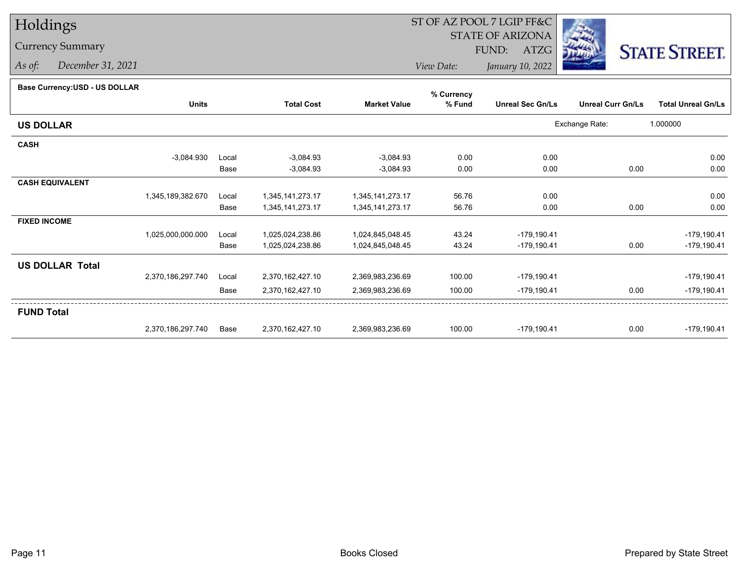## Holdings

## Currency Summary

*As of: December 31, 2021*

## ST OF AZ POOL 7 LGIP FF&C

STATE OF ARIZONA

FUND: ATZG



*View Date:January 10, 2022*

## **Base Currency:USD - US DOLLAR**

|                        |                   |       |                   |                     | % Currency |                         |                          |                           |
|------------------------|-------------------|-------|-------------------|---------------------|------------|-------------------------|--------------------------|---------------------------|
|                        | <b>Units</b>      |       | <b>Total Cost</b> | <b>Market Value</b> | % Fund     | <b>Unreal Sec Gn/Ls</b> | <b>Unreal Curr Gn/Ls</b> | <b>Total Unreal Gn/Ls</b> |
| <b>US DOLLAR</b>       |                   |       |                   |                     |            |                         | Exchange Rate:           | 1.000000                  |
| <b>CASH</b>            |                   |       |                   |                     |            |                         |                          |                           |
|                        | $-3,084.930$      | Local | $-3,084.93$       | $-3,084.93$         | 0.00       | 0.00                    |                          | 0.00                      |
|                        |                   | Base  | $-3,084.93$       | $-3,084.93$         | 0.00       | 0.00                    | 0.00                     | 0.00                      |
| <b>CASH EQUIVALENT</b> |                   |       |                   |                     |            |                         |                          |                           |
|                        | 1,345,189,382.670 | Local | 1,345,141,273.17  | 1,345,141,273.17    | 56.76      | 0.00                    |                          | 0.00                      |
|                        |                   | Base  | 1,345,141,273.17  | 1,345,141,273.17    | 56.76      | 0.00                    | 0.00                     | 0.00                      |
| <b>FIXED INCOME</b>    |                   |       |                   |                     |            |                         |                          |                           |
|                        | 1,025,000,000.000 | Local | 1,025,024,238.86  | 1,024,845,048.45    | 43.24      | $-179, 190.41$          |                          | $-179,190.41$             |
|                        |                   | Base  | 1,025,024,238.86  | 1,024,845,048.45    | 43.24      | $-179, 190.41$          | 0.00                     | $-179,190.41$             |
| <b>US DOLLAR Total</b> |                   |       |                   |                     |            |                         |                          |                           |
|                        | 2,370,186,297.740 | Local | 2,370,162,427.10  | 2,369,983,236.69    | 100.00     | $-179, 190.41$          |                          | $-179,190.41$             |
|                        |                   | Base  | 2,370,162,427.10  | 2,369,983,236.69    | 100.00     | $-179,190.41$           | 0.00                     | $-179,190.41$             |
| <b>FUND Total</b>      |                   |       |                   |                     |            |                         |                          |                           |
|                        | 2,370,186,297.740 | Base  | 2,370,162,427.10  | 2,369,983,236.69    | 100.00     | $-179, 190.41$          | 0.00                     | $-179,190.41$             |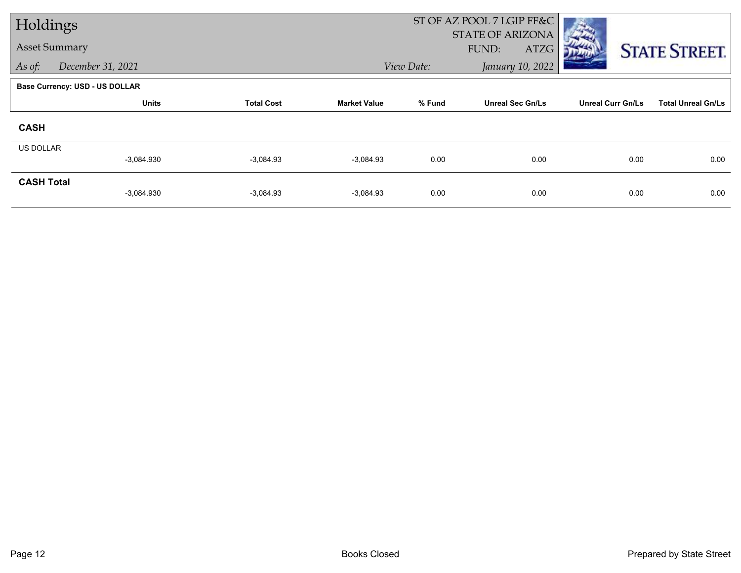| Holdings             |                                       |                   |                     |            | ST OF AZ POOL 7 LGIP FF&C                |                          |                           |
|----------------------|---------------------------------------|-------------------|---------------------|------------|------------------------------------------|--------------------------|---------------------------|
| <b>Asset Summary</b> |                                       |                   |                     |            | <b>STATE OF ARIZONA</b><br>FUND:<br>ATZG |                          | <b>STATE STREET.</b>      |
| As of:               | December 31, 2021                     |                   |                     | View Date: | January 10, 2022                         |                          |                           |
|                      | <b>Base Currency: USD - US DOLLAR</b> |                   |                     |            |                                          |                          |                           |
|                      | <b>Units</b>                          | <b>Total Cost</b> | <b>Market Value</b> | % Fund     | <b>Unreal Sec Gn/Ls</b>                  | <b>Unreal Curr Gn/Ls</b> | <b>Total Unreal Gn/Ls</b> |
| <b>CASH</b>          |                                       |                   |                     |            |                                          |                          |                           |
| <b>US DOLLAR</b>     |                                       |                   |                     |            |                                          |                          |                           |
|                      | $-3,084.930$                          | $-3,084.93$       | $-3,084.93$         | 0.00       | 0.00                                     | 0.00                     | 0.00                      |
| <b>CASH Total</b>    | $-3,084.930$                          | $-3,084.93$       | $-3,084.93$         | 0.00       | 0.00                                     | 0.00                     | 0.00                      |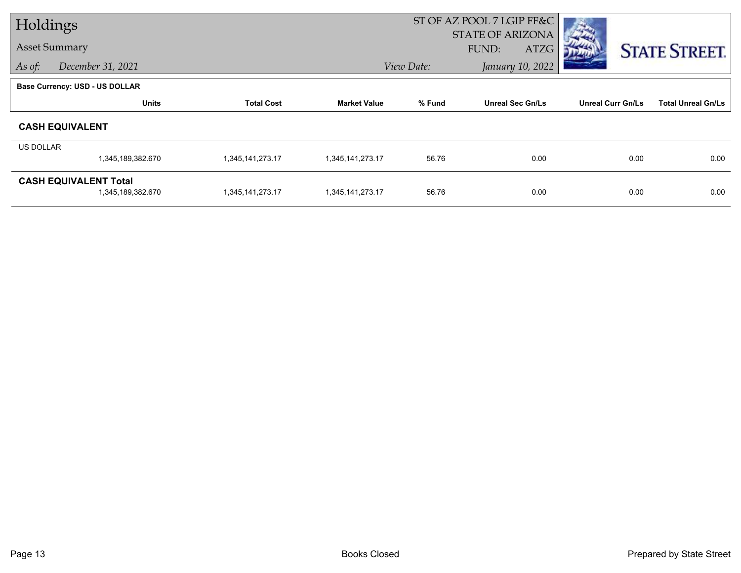| Holdings             |                                       |                   |                     | ST OF AZ POOL 7 LGIP FF&C      |                                          |                          |                           |
|----------------------|---------------------------------------|-------------------|---------------------|--------------------------------|------------------------------------------|--------------------------|---------------------------|
| <b>Asset Summary</b> |                                       |                   |                     |                                | <b>STATE OF ARIZONA</b><br>FUND:<br>ATZG |                          | <b>STATE STREET.</b>      |
| As of:               | December 31, 2021                     |                   |                     | January 10, 2022<br>View Date: |                                          |                          |                           |
|                      | <b>Base Currency: USD - US DOLLAR</b> |                   |                     |                                |                                          |                          |                           |
|                      | <b>Units</b>                          | <b>Total Cost</b> | <b>Market Value</b> | % Fund                         | <b>Unreal Sec Gn/Ls</b>                  | <b>Unreal Curr Gn/Ls</b> | <b>Total Unreal Gn/Ls</b> |
|                      | <b>CASH EQUIVALENT</b>                |                   |                     |                                |                                          |                          |                           |
| <b>US DOLLAR</b>     |                                       |                   |                     |                                |                                          |                          |                           |
|                      | 1,345,189,382.670                     | 1,345,141,273.17  | 1,345,141,273.17    | 56.76                          | 0.00                                     | 0.00                     | 0.00                      |
|                      | <b>CASH EQUIVALENT Total</b>          |                   |                     |                                |                                          |                          |                           |
|                      | 1,345,189,382.670                     | 1,345,141,273.17  | 1,345,141,273.17    | 56.76                          | 0.00                                     | 0.00                     | 0.00                      |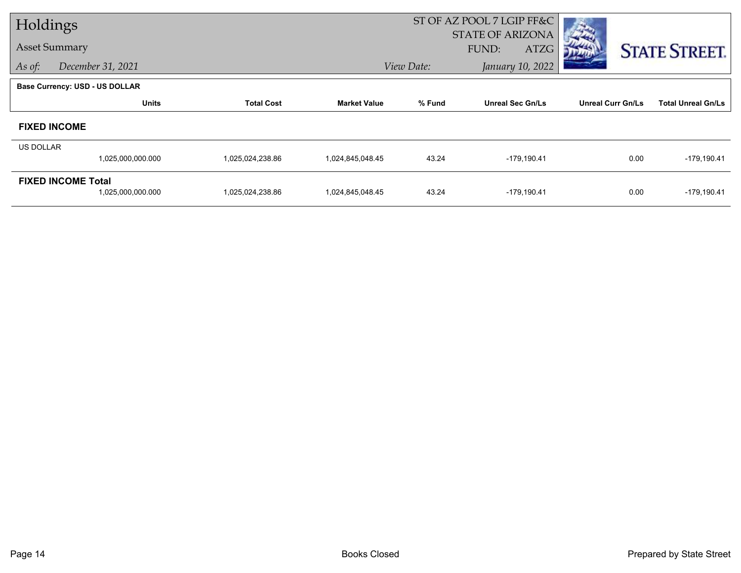| Holdings             |                                       |                   |                     | ST OF AZ POOL 7 LGIP FF&C |                                          |                          |                           |
|----------------------|---------------------------------------|-------------------|---------------------|---------------------------|------------------------------------------|--------------------------|---------------------------|
| <b>Asset Summary</b> |                                       |                   |                     |                           | <b>STATE OF ARIZONA</b><br>FUND:<br>ATZG |                          |                           |
| As of:               | December 31, 2021                     |                   |                     | View Date:                | January 10, 2022                         |                          | <b>STATE STREET.</b>      |
|                      | <b>Base Currency: USD - US DOLLAR</b> |                   |                     |                           |                                          |                          |                           |
|                      | <b>Units</b>                          | <b>Total Cost</b> | <b>Market Value</b> | % Fund                    | <b>Unreal Sec Gn/Ls</b>                  | <b>Unreal Curr Gn/Ls</b> | <b>Total Unreal Gn/Ls</b> |
|                      | <b>FIXED INCOME</b>                   |                   |                     |                           |                                          |                          |                           |
| <b>US DOLLAR</b>     |                                       |                   |                     |                           |                                          |                          |                           |
|                      | 1,025,000,000.000                     | 1,025,024,238.86  | 1,024,845,048.45    | 43.24                     | $-179,190.41$                            | 0.00                     | $-179, 190.41$            |
|                      | <b>FIXED INCOME Total</b>             |                   |                     |                           |                                          |                          |                           |
|                      | 1,025,000,000.000                     | 1,025,024,238.86  | 1,024,845,048.45    | 43.24                     | $-179,190.41$                            | 0.00                     | $-179, 190.41$            |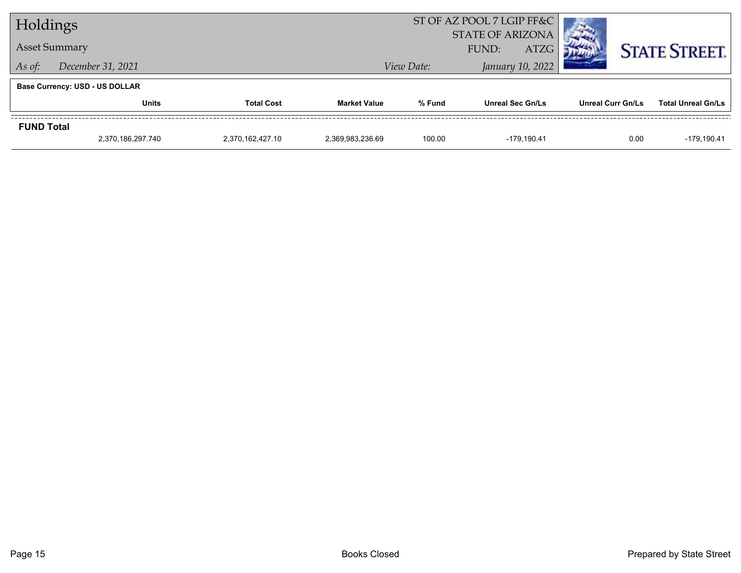| Holdings                    |                                       |  | ST OF AZ POOL 7 LGIP FF&C |                                          |                         |                          |                           |
|-----------------------------|---------------------------------------|--|---------------------------|------------------------------------------|-------------------------|--------------------------|---------------------------|
|                             |                                       |  | <b>STATE OF ARIZONA</b>   |                                          |                         |                          |                           |
|                             | <b>Asset Summary</b>                  |  |                           | <b>ATZG</b><br>FUND:<br>January 10, 2022 |                         |                          | <b>STATE STREET.</b>      |
| December 31, 2021<br>As of: |                                       |  |                           | View Date:                               |                         |                          |                           |
|                             | <b>Base Currency: USD - US DOLLAR</b> |  |                           |                                          |                         |                          |                           |
|                             | <b>Total Cost</b><br><b>Units</b>     |  | <b>Market Value</b>       | % Fund                                   | <b>Unreal Sec Gn/Ls</b> | <b>Unreal Curr Gn/Ls</b> | <b>Total Unreal Gn/Ls</b> |
| <b>FUND Total</b>           |                                       |  |                           |                                          |                         |                          |                           |
|                             | 2,370,186,297.740<br>2.370.162.427.10 |  | 2.369.983.236.69          | 100.00                                   | -179.190.41             | 0.00                     | $-179.190.41$             |